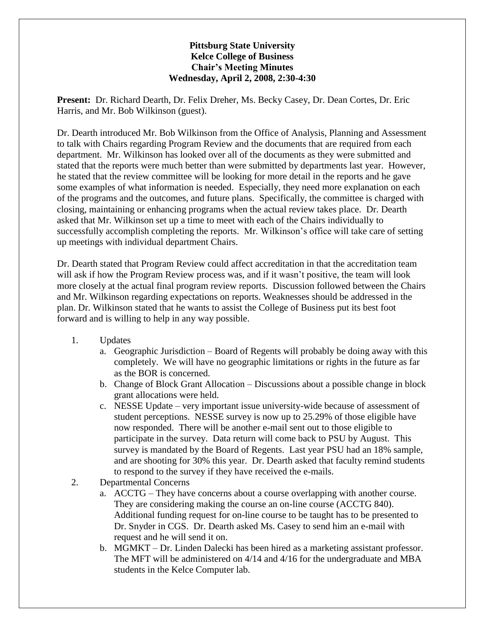## **Pittsburg State University Kelce College of Business Chair's Meeting Minutes Wednesday, April 2, 2008, 2:30-4:30**

**Present:** Dr. Richard Dearth, Dr. Felix Dreher, Ms. Becky Casey, Dr. Dean Cortes, Dr. Eric Harris, and Mr. Bob Wilkinson (guest).

Dr. Dearth introduced Mr. Bob Wilkinson from the Office of Analysis, Planning and Assessment to talk with Chairs regarding Program Review and the documents that are required from each department. Mr. Wilkinson has looked over all of the documents as they were submitted and stated that the reports were much better than were submitted by departments last year. However, he stated that the review committee will be looking for more detail in the reports and he gave some examples of what information is needed. Especially, they need more explanation on each of the programs and the outcomes, and future plans. Specifically, the committee is charged with closing, maintaining or enhancing programs when the actual review takes place. Dr. Dearth asked that Mr. Wilkinson set up a time to meet with each of the Chairs individually to successfully accomplish completing the reports. Mr. Wilkinson's office will take care of setting up meetings with individual department Chairs.

Dr. Dearth stated that Program Review could affect accreditation in that the accreditation team will ask if how the Program Review process was, and if it wasn't positive, the team will look more closely at the actual final program review reports. Discussion followed between the Chairs and Mr. Wilkinson regarding expectations on reports. Weaknesses should be addressed in the plan. Dr. Wilkinson stated that he wants to assist the College of Business put its best foot forward and is willing to help in any way possible.

- 1. Updates
	- a. Geographic Jurisdiction Board of Regents will probably be doing away with this completely. We will have no geographic limitations or rights in the future as far as the BOR is concerned.
	- b. Change of Block Grant Allocation Discussions about a possible change in block grant allocations were held.
	- c. NESSE Update very important issue university-wide because of assessment of student perceptions. NESSE survey is now up to 25.29% of those eligible have now responded. There will be another e-mail sent out to those eligible to participate in the survey. Data return will come back to PSU by August. This survey is mandated by the Board of Regents. Last year PSU had an 18% sample, and are shooting for 30% this year. Dr. Dearth asked that faculty remind students to respond to the survey if they have received the e-mails.
- 2. Departmental Concerns
	- a. ACCTG They have concerns about a course overlapping with another course. They are considering making the course an on-line course (ACCTG 840). Additional funding request for on-line course to be taught has to be presented to Dr. Snyder in CGS. Dr. Dearth asked Ms. Casey to send him an e-mail with request and he will send it on.
	- b. MGMKT Dr. Linden Dalecki has been hired as a marketing assistant professor. The MFT will be administered on 4/14 and 4/16 for the undergraduate and MBA students in the Kelce Computer lab.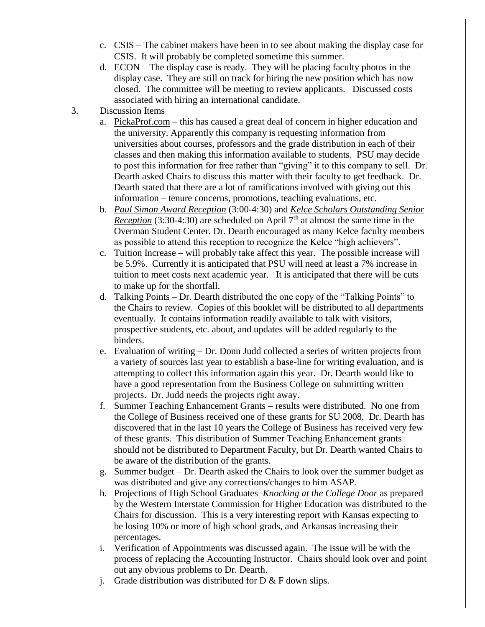- c. CSIS The cabinet makers have been in to see about making the display case for CSIS. It will probably be completed sometime this summer.
- d. ECON The display case is ready. They will be placing faculty photos in the display case. They are still on track for hiring the new position which has now closed. The committee will be meeting to review applicants. Discussed costs associated with hiring an international candidate.
- 3. Discussion Items
	- a. PickaProf.com this has caused a great deal of concern in higher education and the university. Apparently this company is requesting information from universities about courses, professors and the grade distribution in each of their classes and then making this information available to students. PSU may decide to post this information for free rather than "giving" it to this company to sell. Dr. Dearth asked Chairs to discuss this matter with their faculty to get feedback. Dr. Dearth stated that there are a lot of ramifications involved with giving out this information – tenure concerns, promotions, teaching evaluations, etc.
	- b. *Paul Simon Award Reception* (3:00-4:30) and *Kelce Scholars Outstanding Senior Reception* (3:30-4:30) are scheduled on April  $7<sup>th</sup>$  at almost the same time in the Overman Student Center. Dr. Dearth encouraged as many Kelce faculty members as possible to attend this reception to recognize the Kelce "high achievers".
	- c. Tuition Increase will probably take affect this year. The possible increase will be 5.9%. Currently it is anticipated that PSU will need at least a 7% increase in tuition to meet costs next academic year. It is anticipated that there will be cuts to make up for the shortfall.
	- d. Talking Points Dr. Dearth distributed the one copy of the "Talking Points" to the Chairs to review. Copies of this booklet will be distributed to all departments eventually. It contains information readily available to talk with visitors, prospective students, etc. about, and updates will be added regularly to the binders.
	- e. Evaluation of writing Dr. Donn Judd collected a series of written projects from a variety of sources last year to establish a base-line for writing evaluation, and is attempting to collect this information again this year. Dr. Dearth would like to have a good representation from the Business College on submitting written projects. Dr. Judd needs the projects right away.
	- f. Summer Teaching Enhancement Grants results were distributed. No one from the College of Business received one of these grants for SU 2008. Dr. Dearth has discovered that in the last 10 years the College of Business has received very few of these grants. This distribution of Summer Teaching Enhancement grants should not be distributed to Department Faculty, but Dr. Dearth wanted Chairs to be aware of the distribution of the grants.
	- g. Summer budget Dr. Dearth asked the Chairs to look over the summer budget as was distributed and give any corrections/changes to him ASAP.
	- h. Projections of High School Graduates–*Knocking at the College Door* as prepared by the Western Interstate Commission for Higher Education was distributed to the Chairs for discussion. This is a very interesting report with Kansas expecting to be losing 10% or more of high school grads, and Arkansas increasing their percentages.
	- i. Verification of Appointments was discussed again. The issue will be with the process of replacing the Accounting Instructor. Chairs should look over and point out any obvious problems to Dr. Dearth.
	- j. Grade distribution was distributed for  $D \& F$  down slips.